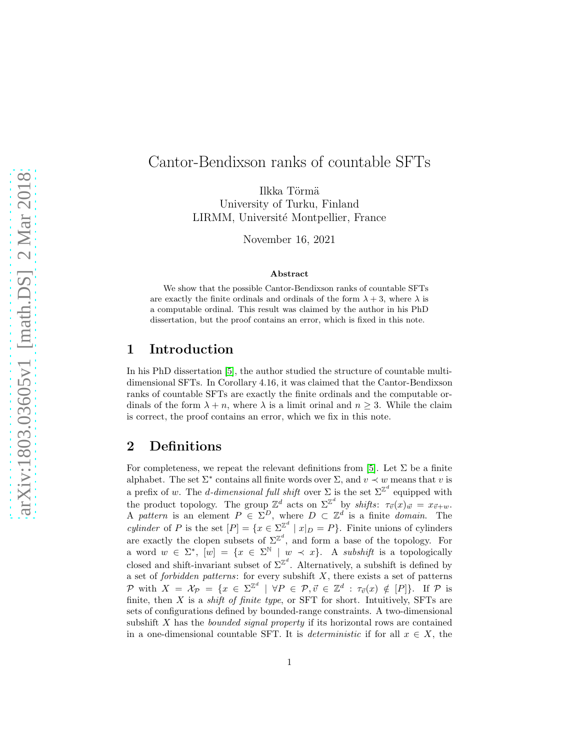# Cantor-Bendixson ranks of countable SFTs

Ilkka Törmä University of Turku, Finland LIRMM, Université Montpellier, France

November 16, 2021

#### Abstract

We show that the possible Cantor-Bendixson ranks of countable SFTs are exactly the finite ordinals and ordinals of the form  $\lambda + 3$ , where  $\lambda$  is a computable ordinal. This result was claimed by the author in his PhD dissertation, but the proof contains an error, which is fixed in this note.

### 1 Introduction

In his PhD dissertation [\[5\]](#page-7-0), the author studied the structure of countable multidimensional SFTs. In Corollary 4.16, it was claimed that the Cantor-Bendixson ranks of countable SFTs are exactly the finite ordinals and the computable ordinals of the form  $\lambda + n$ , where  $\lambda$  is a limit orinal and  $n \geq 3$ . While the claim is correct, the proof contains an error, which we fix in this note.

### 2 Definitions

For completeness, we repeat the relevant definitions from [\[5\]](#page-7-0). Let  $\Sigma$  be a finite alphabet. The set  $\Sigma^*$  contains all finite words over  $\Sigma$ , and  $v \prec w$  means that v is a prefix of w. The *d*-dimensional full shift over  $\Sigma$  is the set  $\Sigma^{\mathbb{Z}^d}$  equipped with the product topology. The group  $\mathbb{Z}^d$  acts on  $\Sigma^{\mathbb{Z}^d}$  by shifts:  $\tau_{\vec{v}}(x)_{\vec{w}} = x_{\vec{v}+w}$ . A pattern is an element  $P \in \Sigma^D$ , where  $D \subset \mathbb{Z}^d$  is a finite *domain*. The *cylinder* of P is the set  $[P] = \{x \in \Sigma^{\mathbb{Z}^d} \mid x|_D = P\}$ . Finite unions of cylinders are exactly the clopen subsets of  $\Sigma^{\mathbb{Z}^d}$ , and form a base of the topology. For a word  $w \in \Sigma^*$ ,  $[w] = \{x \in \Sigma^{\mathbb{N}} \mid w \prec x\}$ . A subshift is a topologically closed and shift-invariant subset of  $\Sigma^{\mathbb{Z}^d}$ . Alternatively, a subshift is defined by a set of *forbidden patterns*: for every subshift  $X$ , there exists a set of patterns P with  $X = \mathcal{X}_{\mathcal{P}} = \{x \in \Sigma^{\mathbb{Z}^d} \mid \forall P \in \mathcal{P}, \vec{v} \in \mathbb{Z}^d : \tau_{\vec{v}}(x) \notin [P]\}.$  If P is finite, then  $X$  is a *shift of finite type*, or SFT for short. Intuitively, SFTs are sets of configurations defined by bounded-range constraints. A two-dimensional subshift X has the *bounded signal property* if its horizontal rows are contained in a one-dimensional countable SFT. It is *deterministic* if for all  $x \in X$ , the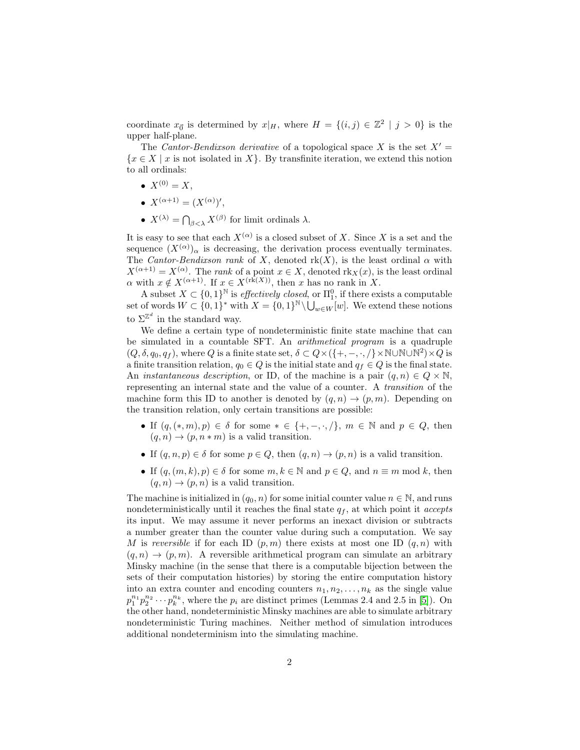coordinate  $x_{\vec{0}}$  is determined by  $x|_H$ , where  $H = \{(i, j) \in \mathbb{Z}^2 \mid j > 0\}$  is the upper half-plane.

The Cantor-Bendixson derivative of a topological space X is the set  $X' =$  ${x \in X \mid x \text{ is not isolated in } X}.$  By transfinite iteration, we extend this notion to all ordinals:

- $X^{(0)} = X$ .
- $X^{(\alpha+1)} = (X^{(\alpha)})'$ ,
- $X^{(\lambda)} = \bigcap_{\beta < \lambda} X^{(\beta)}$  for limit ordinals  $\lambda$ .

It is easy to see that each  $X^{(\alpha)}$  is a closed subset of X. Since X is a set and the sequence  $(X^{(\alpha)})_{\alpha}$  is decreasing, the derivation process eventually terminates. The Cantor-Bendixson rank of X, denoted  $rk(X)$ , is the least ordinal  $\alpha$  with  $X^{(\alpha+1)} = X^{(\alpha)}$ . The *rank* of a point  $x \in X$ , denoted  $\text{rk}_X(x)$ , is the least ordinal  $\alpha$  with  $x \notin X^{(\alpha+1)}$ . If  $x \in X^{(\text{rk}(X))}$ , then x has no rank in X.

A subset  $X \subset \{0,1\}^{\mathbb{N}}$  is effectively closed, or  $\Pi_1^0$ , if there exists a computable set of words  $W \subset \{0,1\}^*$  with  $X = \{0,1\}^{\mathbb{N}} \setminus \bigcup_{w \in W}[w]$ . We extend these notions to  $\Sigma^{\mathbb{Z}^d}$  in the standard way.

We define a certain type of nondeterministic finite state machine that can be simulated in a countable SFT. An arithmetical program is a quadruple  $(Q, \delta, q_0, q_f)$ , where Q is a finite state set,  $\delta \subset Q \times (\{+,-, \cdot, /\} \times \mathbb{N} \cup \mathbb{N} \cup \mathbb{N}^2) \times Q$  is a finite transition relation,  $q_0 \in Q$  is the initial state and  $q_f \in Q$  is the final state. An *instantaneous description*, or ID, of the machine is a pair  $(q, n) \in Q \times \mathbb{N}$ , representing an internal state and the value of a counter. A transition of the machine form this ID to another is denoted by  $(q, n) \rightarrow (p, m)$ . Depending on the transition relation, only certain transitions are possible:

- If  $(q,(*,m), p) \in \delta$  for some  $* \in \{+,-, \cdot, / \}, m \in \mathbb{N}$  and  $p \in Q$ , then  $(q, n) \rightarrow (p, n * m)$  is a valid transition.
- If  $(q, n, p) \in \delta$  for some  $p \in Q$ , then  $(q, n) \to (p, n)$  is a valid transition.
- If  $(q,(m,k), p) \in \delta$  for some  $m, k \in \mathbb{N}$  and  $p \in Q$ , and  $n \equiv m \mod k$ , then  $(q, n) \rightarrow (p, n)$  is a valid transition.

The machine is initialized in  $(q_0, n)$  for some initial counter value  $n \in \mathbb{N}$ , and runs nondeterministically until it reaches the final state  $q_f$ , at which point it *accepts* its input. We may assume it never performs an inexact division or subtracts a number greater than the counter value during such a computation. We say M is reversible if for each ID  $(p, m)$  there exists at most one ID  $(q, n)$  with  $(q, n) \rightarrow (p, m)$ . A reversible arithmetical program can simulate an arbitrary Minsky machine (in the sense that there is a computable bijection between the sets of their computation histories) by storing the entire computation history into an extra counter and encoding counters  $n_1, n_2, \ldots, n_k$  as the single value  $p_1^{n_1} p_2^{n_2} \cdots p_k^{n_k}$ , where the  $p_i$  are distinct primes (Lemmas 2.4 and 2.5 in [\[5\]](#page-7-0)). On the other hand, nondeterministic Minsky machines are able to simulate arbitrary nondeterministic Turing machines. Neither method of simulation introduces additional nondeterminism into the simulating machine.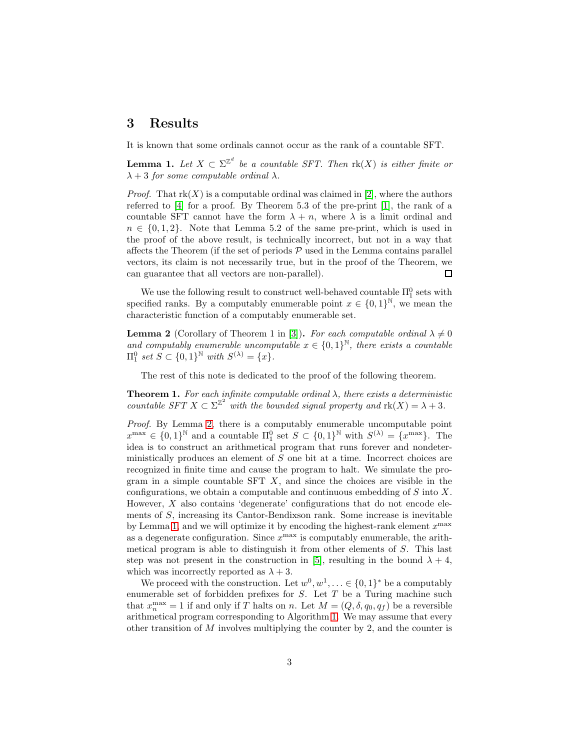#### 3 Results

It is known that some ordinals cannot occur as the rank of a countable SFT.

<span id="page-2-1"></span>**Lemma 1.** Let  $X \subset \Sigma^{\mathbb{Z}^d}$  be a countable SFT. Then  $\text{rk}(X)$  is either finite or  $\lambda + 3$  for some computable ordinal  $\lambda$ .

*Proof.* That  $rk(X)$  is a computable ordinal was claimed in [\[2\]](#page-7-1), where the authors referred to [\[4\]](#page-7-2) for a proof. By Theorem 5.3 of the pre-print [\[1\]](#page-7-3), the rank of a countable SFT cannot have the form  $\lambda + n$ , where  $\lambda$  is a limit ordinal and  $n \in \{0, 1, 2\}$ . Note that Lemma 5.2 of the same pre-print, which is used in the proof of the above result, is technically incorrect, but not in a way that affects the Theorem (if the set of periods  $P$  used in the Lemma contains parallel vectors, its claim is not necessarily true, but in the proof of the Theorem, we can guarantee that all vectors are non-parallel).  $\Box$ 

We use the following result to construct well-behaved countable  $\Pi_1^0$  sets with specified ranks. By a computably enumerable point  $x \in \{0,1\}^{\mathbb{N}}$ , we mean the characteristic function of a computably enumerable set.

<span id="page-2-0"></span>**Lemma 2** (Corollary of Theorem 1 in [\[3\]](#page-7-4)). For each computable ordinal  $\lambda \neq 0$ and computably enumerable uncomputable  $x \in \{0,1\}^{\mathbb{N}}$ , there exists a countable  $\Pi_1^0$  set  $S \subset \{0,1\}^{\mathbb{N}}$  with  $S^{(\lambda)} = \{x\}.$ 

The rest of this note is dedicated to the proof of the following theorem.

<span id="page-2-2"></span>**Theorem 1.** For each infinite computable ordinal  $\lambda$ , there exists a deterministic countable SFT  $X \subset \Sigma^{\mathbb{Z}^2}$  with the bounded signal property and  $\text{rk}(X) = \lambda + 3$ .

Proof. By Lemma [2,](#page-2-0) there is a computably enumerable uncomputable point  $x^{\max} \in \{0,1\}^{\mathbb{N}}$  and a countable  $\Pi_1^0$  set  $S \subset \{0,1\}^{\mathbb{N}}$  with  $S^{(\lambda)} = \{x^{\max}\}\$ . The idea is to construct an arithmetical program that runs forever and nondeterministically produces an element of S one bit at a time. Incorrect choices are recognized in finite time and cause the program to halt. We simulate the program in a simple countable SFT  $X$ , and since the choices are visible in the configurations, we obtain a computable and continuous embedding of  $S$  into  $X$ . However,  $X$  also contains 'degenerate' configurations that do not encode elements of S, increasing its Cantor-Bendixson rank. Some increase is inevitable by Lemma [1,](#page-2-1) and we will optimize it by encoding the highest-rank element  $x^{\max}$ as a degenerate configuration. Since  $x^{\max}$  is computably enumerable, the arithmetical program is able to distinguish it from other elements of S. This last step was not present in the construction in [\[5\]](#page-7-0), resulting in the bound  $\lambda + 4$ . which was incorrectly reported as  $\lambda + 3$ .

We proceed with the construction. Let  $w^0, w^1, \ldots \in \{0, 1\}^*$  be a computably enumerable set of forbidden prefixes for  $S$ . Let  $T$  be a Turing machine such that  $x_n^{\max} = 1$  if and only if T halts on n. Let  $M = (Q, \delta, q_0, q_f)$  be a reversible arithmetical program corresponding to Algorithm [1.](#page-3-0) We may assume that every other transition of M involves multiplying the counter by 2, and the counter is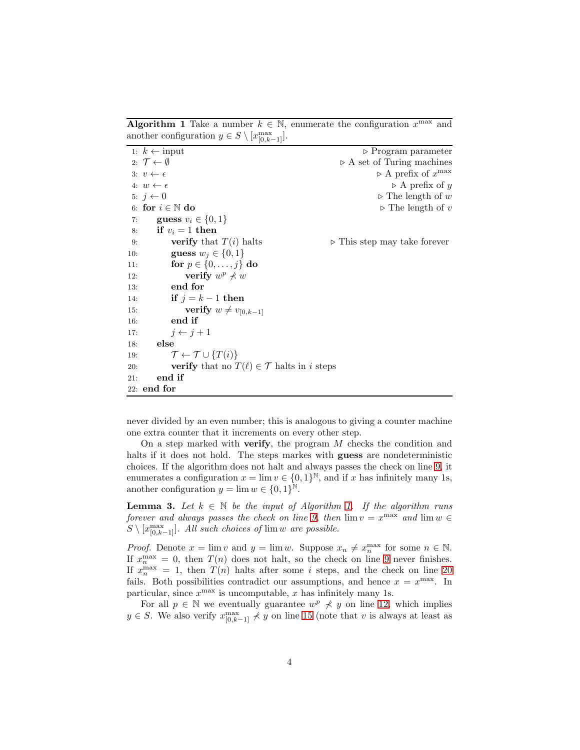**Algorithm 1** Take a number  $k \in \mathbb{N}$ , enumerate the configuration  $x^{\max}$  and another configuration  $y \in S \setminus [x_{[0,k-1]}^{\max}]$ .

|     | 1: $k \leftarrow \text{input}$                                   | $\triangleright$ Program parameter          |  |
|-----|------------------------------------------------------------------|---------------------------------------------|--|
|     | 2: $\mathcal{T} \leftarrow \emptyset$                            | $\triangleright$ A set of Turing machines   |  |
|     | 3: $v \leftarrow \epsilon$                                       | $\triangleright$ A prefix of $x^{\max}$     |  |
|     | 4: $w \leftarrow \epsilon$                                       | $\triangleright$ A prefix of y              |  |
|     | 5: $j \leftarrow 0$                                              | $\triangleright$ The length of w            |  |
|     | 6: for $i \in \mathbb{N}$ do                                     | $\triangleright$ The length of v            |  |
|     | 7: <b>guess</b> $v_i \in \{0, 1\}$                               |                                             |  |
|     | 8: if $v_i = 1$ then                                             |                                             |  |
| 9:  | <b>verify</b> that $T(i)$ halts                                  | $\triangleright$ This step may take forever |  |
| 10: | guess $w_i \in \{0,1\}$                                          |                                             |  |
| 11: | for $p \in \{0, \ldots, j\}$ do                                  |                                             |  |
| 12: | verify $w^p \nless w$                                            |                                             |  |
| 13: | end for                                                          |                                             |  |
| 14: | if $j = k - 1$ then                                              |                                             |  |
| 15: | <b>verify</b> $w \neq v_{[0,k-1]}$                               |                                             |  |
| 16: | end if                                                           |                                             |  |
| 17: | $j \leftarrow j+1$                                               |                                             |  |
| 18: | else                                                             |                                             |  |
| 19: | $\mathcal{T} \leftarrow \mathcal{T} \cup \{T(i)\}\$              |                                             |  |
| 20: | <b>verify</b> that no $T(\ell) \in \mathcal{T}$ halts in i steps |                                             |  |
| 21: | end if                                                           |                                             |  |
|     | $22:$ end for                                                    |                                             |  |

<span id="page-3-0"></span>never divided by an even number; this is analogous to giving a counter machine one extra counter that it increments on every other step.

On a step marked with **verify**, the program  $M$  checks the condition and halts if it does not hold. The steps markes with **guess** are nondeterministic choices. If the algorithm does not halt and always passes the check on line [9,](#page-2-2) it enumerates a configuration  $x = \lim v \in \{0, 1\}^{\mathbb{N}},$  and if x has infinitely many 1s, another configuration  $y = \lim w \in \{0, 1\}^{\mathbb{N}}$ .

<span id="page-3-1"></span>**Lemma 3.** Let  $k \in \mathbb{N}$  be the input of Algorithm [1.](#page-3-0) If the algorithm runs forever and always passes the check on line [9,](#page-2-2) then  $\lim v = x^{\max}$  and  $\lim w \in$  $S \setminus [x_{[0,k-1]}^{\max}]$ . All such choices of  $\lim w$  are possible.

*Proof.* Denote  $x = \lim v$  and  $y = \lim w$ . Suppose  $x_n \neq x_n^{\max}$  for some  $n \in \mathbb{N}$ . If  $x_n^{\max} = 0$ , then  $T(n)$  does not halt, so the check on line [9](#page-2-2) never finishes. If  $x_n^{\max} = 1$ , then  $T(n)$  halts after some i steps, and the check on line [20](#page-2-2) fails. Both possibilities contradict our assumptions, and hence  $x = x^{\max}$ . In particular, since  $x^{\max}$  is uncomputable, x has infinitely many 1s.

For all  $p \in \mathbb{N}$  we eventually guarantee  $w^p \nless y$  on line [12,](#page-2-2) which implies  $y \in S$ . We also verify  $x_{[0,k-1]}^{\max} \nless y$  on line [15](#page-2-2) (note that v is always at least as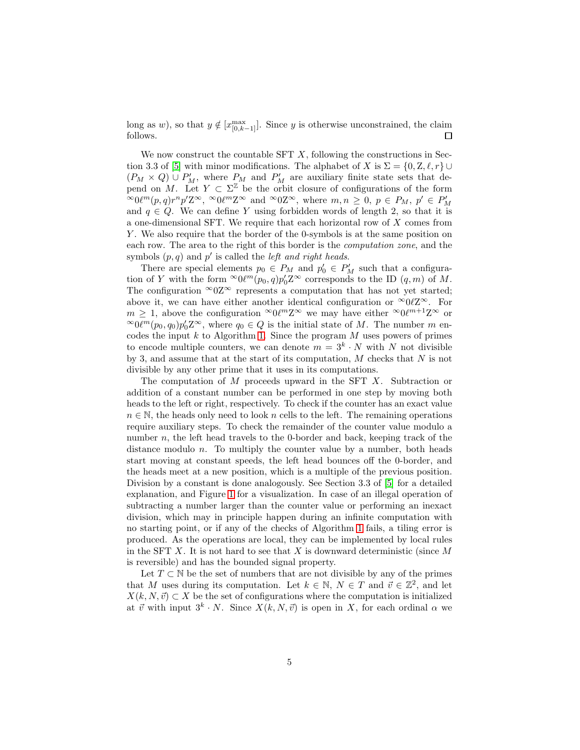long as w), so that  $y \notin [x_{[0,k-1]}^{\max}]$ . Since y is otherwise unconstrained, the claim follows.

We now construct the countable SFT  $X$ , following the constructions in Sec-tion 3.3 of [\[5\]](#page-7-0) with minor modifications. The alphabet of X is  $\Sigma = \{0, Z, \ell, r\} \cup$  $(P_M \times Q) \cup P'_M$ , where  $P_M$  and  $P'_M$  are auxiliary finite state sets that depend on M. Let  $Y \subset \Sigma^{\mathbb{Z}}$  be the orbit closure of configurations of the form  $\infty 0 \ell^m(p,q) r^n p' Z^{\infty}, \infty 0 \ell^m Z^{\infty}$  and  $\infty 0 Z^{\infty}$ , where  $m, n \geq 0, p \in P_M, p' \in P'_M$ and  $q \in Q$ . We can define Y using forbidden words of length 2, so that it is a one-dimensional SFT. We require that each horizontal row of X comes from Y. We also require that the border of the 0-symbols is at the same position on each row. The area to the right of this border is the computation zone, and the symbols  $(p, q)$  and  $p'$  is called the *left and right heads*.

There are special elements  $p_0 \in P_M$  and  $p'_0 \in P'_M$  such that a configuration of Y with the form  $\infty 0 \ell^m(p_0, q) p'_0 Z^\infty$  corresponds to the ID  $(q, m)$  of M. The configuration  $\infty$ 0Z $\infty$  represents a computation that has not yet started; above it, we can have either another identical configuration or  $\infty 0 \ell \mathbb{Z}^{\infty}$ . For  $m \geq 1$ , above the configuration  $\infty 0 \ell^m \mathbb{Z}^\infty$  we may have either  $\infty 0 \ell^{m+1} \mathbb{Z}^\infty$  or  $\infty 0\ell^m(p_0, q_0)p'_0Z^{\infty}$ , where  $q_0 \in Q$  is the initial state of M. The number m encodes the input  $k$  to Algorithm [1.](#page-3-0) Since the program  $M$  uses powers of primes to encode multiple counters, we can denote  $m = 3<sup>k</sup> \cdot N$  with N not divisible by 3, and assume that at the start of its computation,  $M$  checks that  $N$  is not divisible by any other prime that it uses in its computations.

The computation of M proceeds upward in the SFT X. Subtraction or addition of a constant number can be performed in one step by moving both heads to the left or right, respectively. To check if the counter has an exact value  $n \in \mathbb{N}$ , the heads only need to look n cells to the left. The remaining operations require auxiliary steps. To check the remainder of the counter value modulo a number  $n$ , the left head travels to the 0-border and back, keeping track of the distance modulo  $n$ . To multiply the counter value by a number, both heads start moving at constant speeds, the left head bounces off the 0-border, and the heads meet at a new position, which is a multiple of the previous position. Division by a constant is done analogously. See Section 3.3 of [\[5\]](#page-7-0) for a detailed explanation, and Figure [1](#page-5-0) for a visualization. In case of an illegal operation of subtracting a number larger than the counter value or performing an inexact division, which may in principle happen during an infinite computation with no starting point, or if any of the checks of Algorithm [1](#page-3-0) fails, a tiling error is produced. As the operations are local, they can be implemented by local rules in the SFT  $X$ . It is not hard to see that  $X$  is downward deterministic (since  $M$ is reversible) and has the bounded signal property.

Let  $T \subset \mathbb{N}$  be the set of numbers that are not divisible by any of the primes that M uses during its computation. Let  $k \in \mathbb{N}$ ,  $N \in T$  and  $\vec{v} \in \mathbb{Z}^2$ , and let  $X(k, N, \vec{v}) \subset X$  be the set of configurations where the computation is initialized at  $\vec{v}$  with input  $3^k \cdot N$ . Since  $X(k, N, \vec{v})$  is open in X, for each ordinal  $\alpha$  we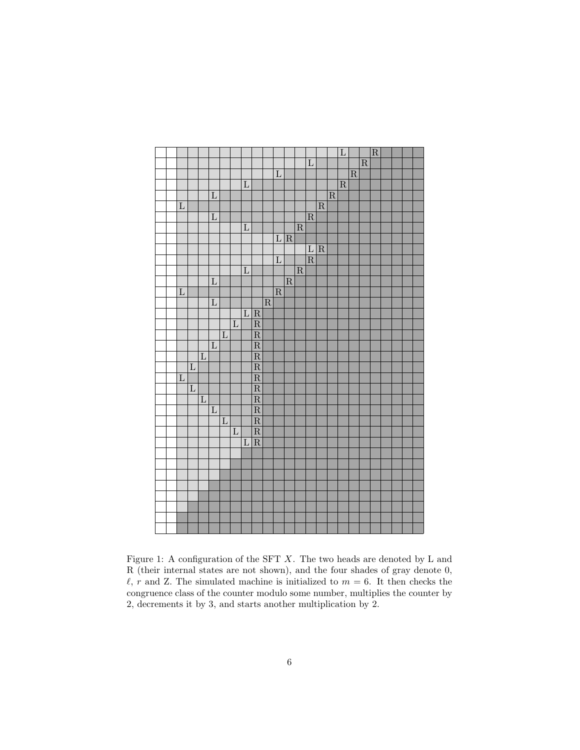

<span id="page-5-0"></span>Figure 1: A configuration of the SFT  $X$ . The two heads are denoted by L and R (their internal states are not shown), and the four shades of gray denote 0,  $\ell$ , r and Z. The simulated machine is initialized to  $m = 6$ . It then checks the congruence class of the counter modulo some number, multiplies the counter by 2, decrements it by 3, and starts another multiplication by 2.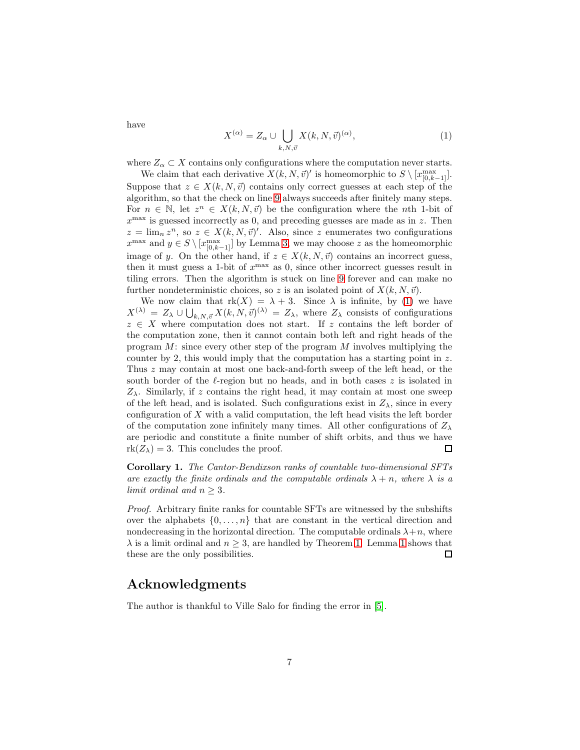have

<span id="page-6-0"></span>
$$
X^{(\alpha)} = Z_{\alpha} \cup \bigcup_{k,N,\vec{v}} X(k,N,\vec{v})^{(\alpha)},\tag{1}
$$

where  $Z_{\alpha} \subset X$  contains only configurations where the computation never starts.

We claim that each derivative  $X(k, N, \vec{v})'$  is homeomorphic to  $S \setminus [x_{[0,k-1]}^{\text{max}}]$ . Suppose that  $z \in X(k, N, \vec{v})$  contains only correct guesses at each step of the algorithm, so that the check on line [9](#page-2-2) always succeeds after finitely many steps. For  $n \in \mathbb{N}$ , let  $z^n \in X(k, N, \vec{v})$  be the configuration where the nth 1-bit of  $x^{\text{max}}$  is guessed incorrectly as 0, and preceding guesses are made as in z. Then  $z = \lim_{n} z^{n}$ , so  $z \in X(k, N, \vec{v})'$ . Also, since z enumerates two configurations  $x^{\max}$  and  $y \in S \setminus [x_{[0,k-1]}^{\max}]$  by Lemma [3,](#page-3-1) we may choose z as the homeomorphic image of y. On the other hand, if  $z \in X(k, N, \vec{v})$  contains an incorrect guess, then it must guess a 1-bit of  $x^{\max}$  as 0, since other incorrect guesses result in tiling errors. Then the algorithm is stuck on line [9](#page-2-2) forever and can make no further nondeterministic choices, so z is an isolated point of  $X(k, N, \vec{v})$ .

We now claim that  $rk(X) = \lambda + 3$ . Since  $\lambda$  is infinite, by [\(1\)](#page-6-0) we have  $X^{(\lambda)} = Z_{\lambda} \cup \bigcup_{k,N,\vec{v}} X(k,N,\vec{v})^{(\lambda)} = Z_{\lambda}$ , where  $Z_{\lambda}$  consists of configurations  $z \in X$  where computation does not start. If z contains the left border of the computation zone, then it cannot contain both left and right heads of the program  $M$ : since every other step of the program  $M$  involves multiplying the counter by 2, this would imply that the computation has a starting point in z. Thus z may contain at most one back-and-forth sweep of the left head, or the south border of the  $\ell$ -region but no heads, and in both cases  $z$  is isolated in  $Z_{\lambda}$ . Similarly, if z contains the right head, it may contain at most one sweep of the left head, and is isolated. Such configurations exist in  $Z_{\lambda}$ , since in every configuration of X with a valid computation, the left head visits the left border of the computation zone infinitely many times. All other configurations of  $Z_{\lambda}$ are periodic and constitute a finite number of shift orbits, and thus we have  $rk(Z_\lambda)=3$ . This concludes the proof.  $\Box$ 

Corollary 1. The Cantor-Bendixson ranks of countable two-dimensional SFTs are exactly the finite ordinals and the computable ordinals  $\lambda + n$ , where  $\lambda$  is a limit ordinal and  $n \geq 3$ .

Proof. Arbitrary finite ranks for countable SFTs are witnessed by the subshifts over the alphabets  $\{0, \ldots, n\}$  that are constant in the vertical direction and nondecreasing in the horizontal direction. The computable ordinals  $\lambda + n$ , where  $\lambda$  is a limit ordinal and  $n > 3$ , are handled by Theorem [1.](#page-2-2) Lemma [1](#page-2-1) shows that these are the only possibilities.  $\Box$ 

#### Acknowledgments

The author is thankful to Ville Salo for finding the error in [\[5\]](#page-7-0).